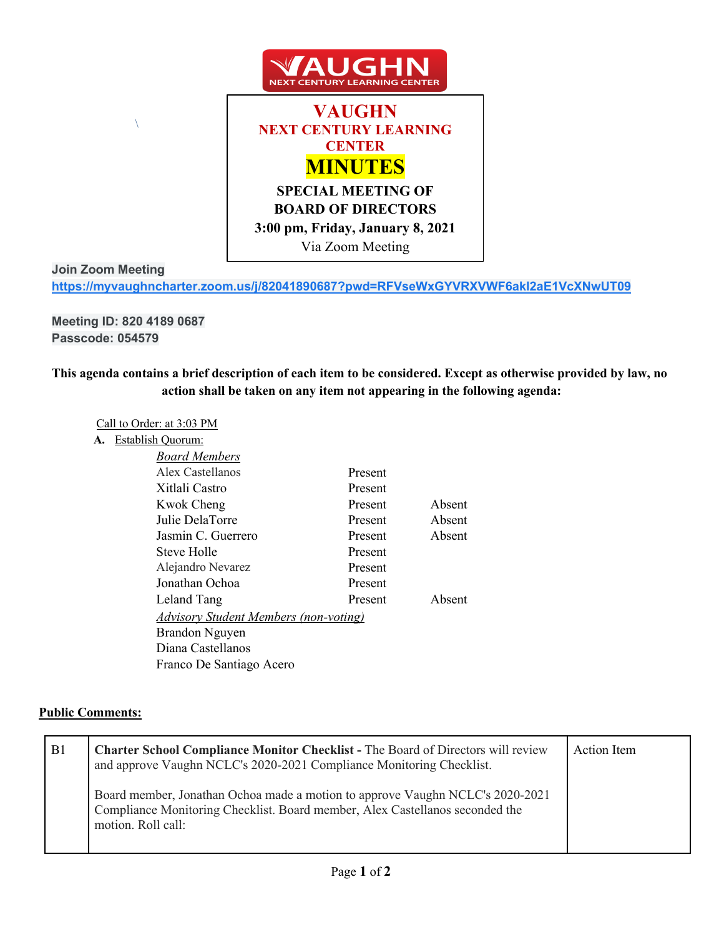

## **Join Zoom Meeting**

**https://myvaughncharter.zoom.us/j/82041890687?pwd=RFVseWxGYVRXVWF6akI2aE1VcXNwUT09**

**Meeting ID: 820 4189 0687 Passcode: 054579**

 $\bar{\mathcal{N}}$ 

**This agenda contains a brief description of each item to be considered. Except as otherwise provided by law, no action shall be taken on any item not appearing in the following agenda:**

## Call to Order: at 3:03 PM

**A.** Establish Quorum:

| <b>Board Members</b>                         |         |        |
|----------------------------------------------|---------|--------|
| Alex Castellanos                             | Present |        |
| Xitlali Castro                               | Present |        |
| Kwok Cheng                                   | Present | Absent |
| Julie DelaTorre                              | Present | Absent |
| Jasmin C. Guerrero                           | Present | Absent |
| Steve Holle                                  | Present |        |
| Alejandro Nevarez                            | Present |        |
| Jonathan Ochoa                               | Present |        |
| Leland Tang                                  | Present | Absent |
| <b>Advisory Student Members (non-voting)</b> |         |        |
| Brandon Nguyen                               |         |        |
| Diana Castellanos                            |         |        |
| Franco De Santiago Acero                     |         |        |
|                                              |         |        |

## **Public Comments:**

| B1 | <b>Charter School Compliance Monitor Checklist - The Board of Directors will review</b><br>and approve Vaughn NCLC's 2020-2021 Compliance Monitoring Checklist.                     | Action Item |
|----|-------------------------------------------------------------------------------------------------------------------------------------------------------------------------------------|-------------|
|    | Board member, Jonathan Ochoa made a motion to approve Vaughn NCLC's 2020-2021<br>Compliance Monitoring Checklist. Board member, Alex Castellanos seconded the<br>motion. Roll call: |             |